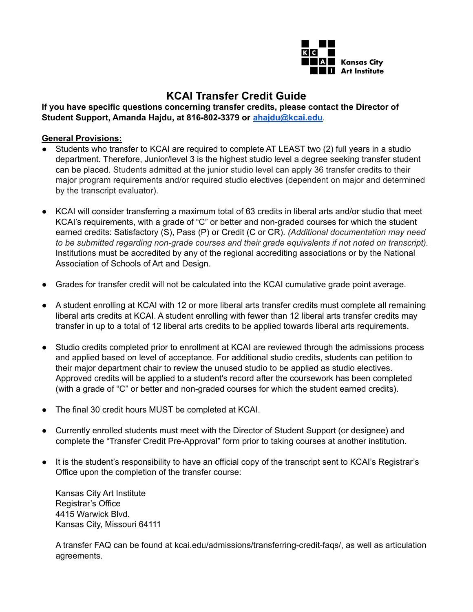

# **KCAI Transfer Credit Guide**

**If you have specific questions concerning transfer credits, please contact the Director of Student Support, Amanda Hajdu, at 816-802-3379 or [ahajdu@kcai.edu](mailto:ahajdu@kcai.edu)**.

# **General Provisions:**

- Students who transfer to KCAI are required to complete AT LEAST two (2) full years in a studio department. Therefore, Junior/level 3 is the highest studio level a degree seeking transfer student can be placed. Students admitted at the junior studio level can apply 36 transfer credits to their major program requirements and/or required studio electives (dependent on major and determined by the transcript evaluator).
- KCAI will consider transferring a maximum total of 63 credits in liberal arts and/or studio that meet KCAI's requirements, with a grade of "C" or better and non-graded courses for which the student earned credits: Satisfactory (S), Pass (P) or Credit (C or CR). *(Additional documentation may need to be submitted regarding non-grade courses and their grade equivalents if not noted on transcript).* Institutions must be accredited by any of the regional accrediting associations or by the National Association of Schools of Art and Design.
- Grades for transfer credit will not be calculated into the KCAI cumulative grade point average.
- A student enrolling at KCAI with 12 or more liberal arts transfer credits must complete all remaining liberal arts credits at KCAI. A student enrolling with fewer than 12 liberal arts transfer credits may transfer in up to a total of 12 liberal arts credits to be applied towards liberal arts requirements.
- Studio credits completed prior to enrollment at KCAI are reviewed through the admissions process and applied based on level of acceptance. For additional studio credits, students can petition to their major department chair to review the unused studio to be applied as studio electives. Approved credits will be applied to a student's record after the coursework has been completed (with a grade of "C" or better and non-graded courses for which the student earned credits).
- The final 30 credit hours MUST be completed at KCAI.
- Currently enrolled students must meet with the Director of Student Support (or designee) and complete the "Transfer Credit Pre-Approval" form prior to taking courses at another institution.
- It is the student's responsibility to have an official copy of the transcript sent to KCAI's Registrar's Office upon the completion of the transfer course:

Kansas City Art Institute Registrar's Office 4415 Warwick Blvd. Kansas City, Missouri 64111

A transfer FAQ can be found at kcai.edu/admissions/transferring-credit-faqs/, as well as articulation agreements.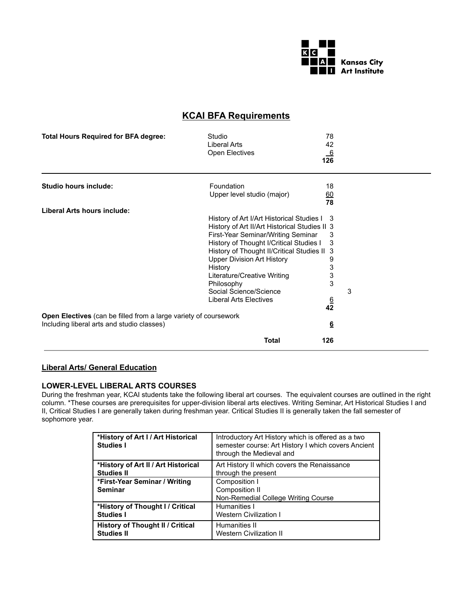

# **KCAI BFA Requirements**

| <b>Total Hours Required for BFA degree:</b>                      | 78<br>Studio<br>Liberal Arts<br>42<br>Open Electives<br>$\frac{6}{126}$                                                                                                                                                                                                                                                                    |   |
|------------------------------------------------------------------|--------------------------------------------------------------------------------------------------------------------------------------------------------------------------------------------------------------------------------------------------------------------------------------------------------------------------------------------|---|
| <b>Studio hours include:</b>                                     | Foundation<br>18<br>Upper level studio (major)<br>60                                                                                                                                                                                                                                                                                       |   |
|                                                                  | 78                                                                                                                                                                                                                                                                                                                                         |   |
| Liberal Arts hours include:                                      | History of Art I/Art Historical Studies I<br>3<br>History of Art II/Art Historical Studies II 3<br>First-Year Seminar/Writing Seminar<br>3<br>History of Thought I/Critical Studies I<br>3<br>History of Thought II/Critical Studies II<br>3<br><b>Upper Division Art History</b><br>9<br>3<br>History<br>3<br>Literature/Creative Writing |   |
|                                                                  | 3<br>Philosophy                                                                                                                                                                                                                                                                                                                            |   |
|                                                                  | Social Science/Science<br><b>Liberal Arts Electives</b><br>$\frac{6}{42}$                                                                                                                                                                                                                                                                  | 3 |
| Open Electives (can be filled from a large variety of coursework |                                                                                                                                                                                                                                                                                                                                            |   |
| Including liberal arts and studio classes)                       | $6\overline{6}$                                                                                                                                                                                                                                                                                                                            |   |
|                                                                  | Total<br>126                                                                                                                                                                                                                                                                                                                               |   |

# **Liberal Arts/ General Education**

#### **LOWER-LEVEL LIBERAL ARTS COURSES**

During the freshman year, KCAI students take the following liberal art courses. The equivalent courses are outlined in the right column. \*These courses are prerequisites for upper-division liberal arts electives. Writing Seminar, Art Historical Studies I and II, Critical Studies I are generally taken during freshman year. Critical Studies II is generally taken the fall semester of sophomore year.

| *History of Art I / Art Historical<br><b>Studies I</b> | Introductory Art History which is offered as a two<br>semester course: Art History I which covers Ancient<br>through the Medieval and |
|--------------------------------------------------------|---------------------------------------------------------------------------------------------------------------------------------------|
| *History of Art II / Art Historical                    | Art History II which covers the Renaissance                                                                                           |
| <b>Studies II</b>                                      | through the present                                                                                                                   |
| *First-Year Seminar / Writing<br><b>Seminar</b>        | Composition I<br>Composition II<br>Non-Remedial College Writing Course                                                                |
| *History of Thought I / Critical                       | Humanities I                                                                                                                          |
| <b>Studies I</b>                                       | <b>Western Civilization I</b>                                                                                                         |
| <b>History of Thought II / Critical</b>                | Humanities II                                                                                                                         |
| <b>Studies II</b>                                      | <b>Western Civilization II</b>                                                                                                        |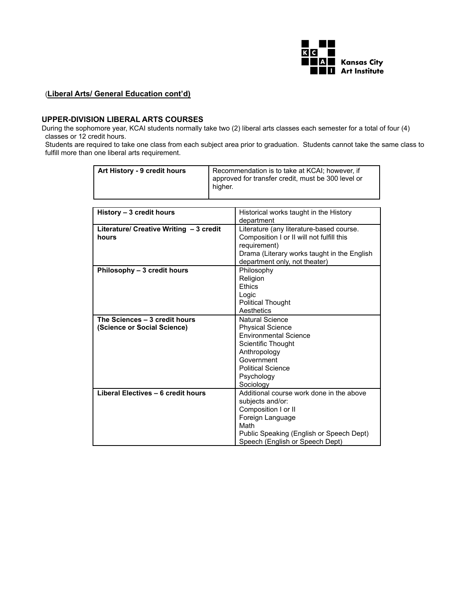

### (**Liberal Arts/ General Education cont'd)**

# **UPPER-DIVISION LIBERAL ARTS COURSES**

During the sophomore year, KCAI students normally take two (2) liberal arts classes each semester for a total of four (4) classes or 12 credit hours.

Students are required to take one class from each subject area prior to graduation. Students cannot take the same class to fulfill more than one liberal arts requirement.

| Art History - 9 credit hours            | Recommendation is to take at KCAI; however, if<br>approved for transfer credit, must be 300 level or<br>higher. |                                             |
|-----------------------------------------|-----------------------------------------------------------------------------------------------------------------|---------------------------------------------|
|                                         |                                                                                                                 |                                             |
| History - 3 credit hours                |                                                                                                                 | Historical works taught in the History      |
|                                         |                                                                                                                 | department                                  |
| Literature/ Creative Writing - 3 credit |                                                                                                                 | Literature (any literature-based course.    |
| hours                                   |                                                                                                                 | Composition I or II will not fulfill this   |
|                                         |                                                                                                                 | requirement)                                |
|                                         |                                                                                                                 | Drama (Literary works taught in the English |
|                                         |                                                                                                                 | department only, not theater)<br>Philosophy |
| Philosophy - 3 credit hours             |                                                                                                                 | Religion                                    |
|                                         |                                                                                                                 | Ethics                                      |
|                                         |                                                                                                                 | Logic                                       |
|                                         |                                                                                                                 | <b>Political Thought</b>                    |
|                                         |                                                                                                                 | Aesthetics                                  |
| The Sciences - 3 credit hours           |                                                                                                                 | <b>Natural Science</b>                      |
| (Science or Social Science)             |                                                                                                                 | <b>Physical Science</b>                     |
|                                         |                                                                                                                 | <b>Environmental Science</b>                |
|                                         |                                                                                                                 | Scientific Thought                          |
|                                         |                                                                                                                 | Anthropology                                |
|                                         |                                                                                                                 | Government                                  |
|                                         |                                                                                                                 | <b>Political Science</b>                    |
|                                         |                                                                                                                 | Psychology                                  |
|                                         |                                                                                                                 | Sociology                                   |
| Liberal Electives - 6 credit hours      |                                                                                                                 | Additional course work done in the above    |
|                                         |                                                                                                                 | subjects and/or:<br>Composition I or II     |
|                                         |                                                                                                                 | Foreign Language                            |
|                                         |                                                                                                                 | Math                                        |
|                                         |                                                                                                                 | Public Speaking (English or Speech Dept)    |
|                                         |                                                                                                                 | Speech (English or Speech Dept)             |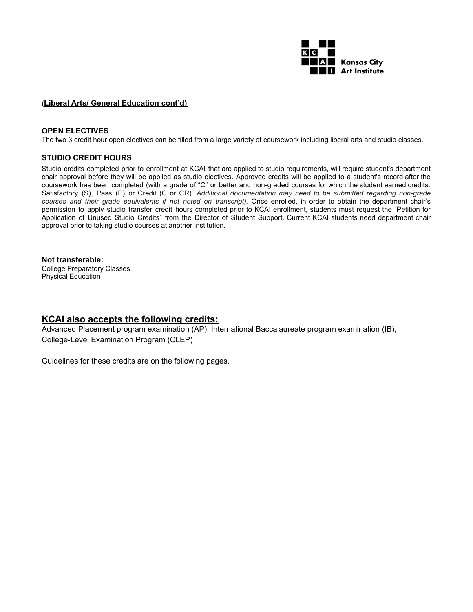

#### (**Liberal Arts/ General Education cont'd)**

#### **OPEN ELECTIVES**

The two 3 credit hour open electives can be filled from a large variety of coursework including liberal arts and studio classes.

# **STUDIO CREDIT HOURS**

Studio credits completed prior to enrollment at KCAI that are applied to studio requirements, will require student's department chair approval before they will be applied as studio electives. Approved credits will be applied to a student's record after the coursework has been completed (with a grade of "C" or better and non-graded courses for which the student earned credits: Satisfactory (S), Pass (P) or Credit (C or CR). *Additional documentation may need to be submitted regarding non-grade courses and their grade equivalents if not noted on transcript).* Once enrolled, in order to obtain the department chair's permission to apply studio transfer credit hours completed prior to KCAI enrollment, students must request the "Petition for Application of Unused Studio Credits" from the Director of Student Support. Current KCAI students need department chair approval prior to taking studio courses at another institution.

#### **Not transferable:**

College Preparatory Classes Physical Education

# **KCAI also accepts the following credits:**

Advanced Placement program examination (AP), International Baccalaureate program examination (IB), College-Level Examination Program (CLEP)

Guidelines for these credits are on the following pages.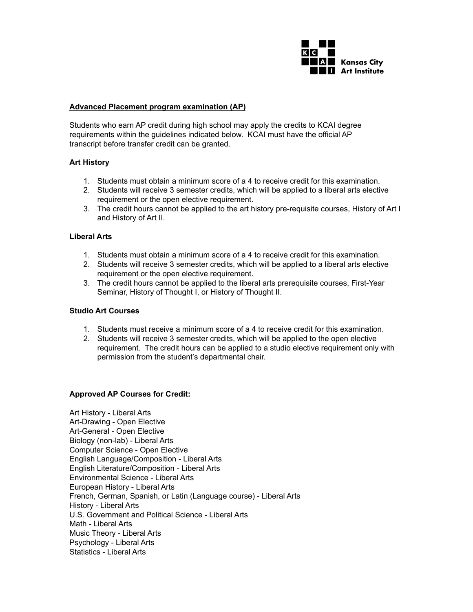

#### **Advanced Placement program examination (AP)**

Students who earn AP credit during high school may apply the credits to KCAI degree requirements within the guidelines indicated below. KCAI must have the official AP transcript before transfer credit can be granted.

#### **Art History**

- 1. Students must obtain a minimum score of a 4 to receive credit for this examination.
- 2. Students will receive 3 semester credits, which will be applied to a liberal arts elective requirement or the open elective requirement.
- 3. The credit hours cannot be applied to the art history pre-requisite courses, History of Art I and History of Art II.

#### **Liberal Arts**

- 1. Students must obtain a minimum score of a 4 to receive credit for this examination.
- 2. Students will receive 3 semester credits, which will be applied to a liberal arts elective requirement or the open elective requirement.
- 3. The credit hours cannot be applied to the liberal arts prerequisite courses, First-Year Seminar, History of Thought I, or History of Thought II.

# **Studio Art Courses**

- 1. Students must receive a minimum score of a 4 to receive credit for this examination.
- 2. Students will receive 3 semester credits, which will be applied to the open elective requirement. The credit hours can be applied to a studio elective requirement only with permission from the student's departmental chair.

# **Approved AP Courses for Credit:**

Art History - Liberal Arts Art-Drawing - Open Elective Art-General - Open Elective Biology (non-lab) - Liberal Arts Computer Science - Open Elective English Language/Composition - Liberal Arts English Literature/Composition - Liberal Arts Environmental Science - Liberal Arts European History - Liberal Arts French, German, Spanish, or Latin (Language course) - Liberal Arts History - Liberal Arts U.S. Government and Political Science - Liberal Arts Math - Liberal Arts Music Theory - Liberal Arts Psychology - Liberal Arts Statistics - Liberal Arts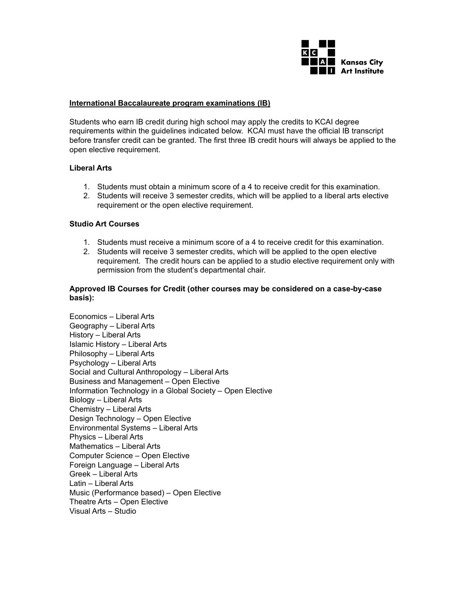

#### **International Baccalaureate program examinations (IB)**

Students who earn IB credit during high school may apply the credits to KCAI degree requirements within the guidelines indicated below. KCAI must have the official IB transcript before transfer credit can be granted. The first three IB credit hours will always be applied to the open elective requirement.

#### **Liberal Arts**

- 1. Students must obtain a minimum score of a 4 to receive credit for this examination.
- 2. Students will receive 3 semester credits, which will be applied to a liberal arts elective requirement or the open elective requirement.

#### **Studio Art Courses**

- 1. Students must receive a minimum score of a 4 to receive credit for this examination.
- 2. Students will receive 3 semester credits, which will be applied to the open elective requirement. The credit hours can be applied to a studio elective requirement only with permission from the student's departmental chair.

### **Approved IB Courses for Credit (other courses may be considered on a case-by-case basis):**

Economics – Liberal Arts Geography – Liberal Arts History – Liberal Arts Islamic History – Liberal Arts Philosophy – Liberal Arts Psychology – Liberal Arts Social and Cultural Anthropology – Liberal Arts Business and Management – Open Elective Information Technology in a Global Society – Open Elective Biology – Liberal Arts Chemistry – Liberal Arts Design Technology – Open Elective Environmental Systems – Liberal Arts Physics – Liberal Arts Mathematics – Liberal Arts Computer Science – Open Elective Foreign Language – Liberal Arts Greek – Liberal Arts Latin – Liberal Arts Music (Performance based) – Open Elective Theatre Arts – Open Elective Visual Arts – Studio